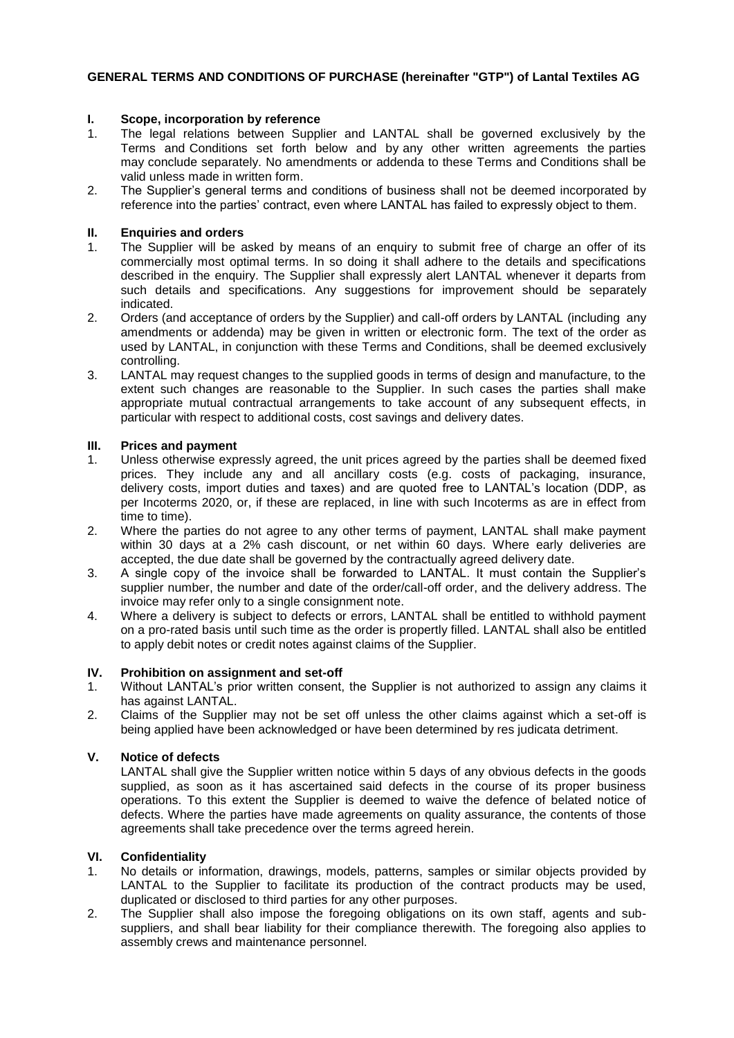# **GENERAL TERMS AND CONDITIONS OF PURCHASE (hereinafter "GTP") of Lantal Textiles AG**

# **I. Scope, incorporation by reference**

- 1. The legal relations between Supplier and LANTAL shall be governed exclusively by the Terms and Conditions set forth below and by any other written agreements the parties may conclude separately. No amendments or addenda to these Terms and Conditions shall be valid unless made in written form.
- 2. The Supplier's general terms and conditions of business shall not be deemed incorporated by reference into the parties' contract, even where LANTAL has failed to expressly object to them.

# **II. Enquiries and orders**

- 1. The Supplier will be asked by means of an enquiry to submit free of charge an offer of its commercially most optimal terms. In so doing it shall adhere to the details and specifications described in the enquiry. The Supplier shall expressly alert LANTAL whenever it departs from such details and specifications. Any suggestions for improvement should be separately indicated.
- 2. Orders (and acceptance of orders by the Supplier) and call-off orders by LANTAL (including any amendments or addenda) may be given in written or electronic form. The text of the order as used by LANTAL, in conjunction with these Terms and Conditions, shall be deemed exclusively controlling.
- 3. LANTAL may request changes to the supplied goods in terms of design and manufacture, to the extent such changes are reasonable to the Supplier. In such cases the parties shall make appropriate mutual contractual arrangements to take account of any subsequent effects, in particular with respect to additional costs, cost savings and delivery dates.

# **III. Prices and payment**

- 1. Unless otherwise expressly agreed, the unit prices agreed by the parties shall be deemed fixed prices. They include any and all ancillary costs (e.g. costs of packaging, insurance, delivery costs, import duties and taxes) and are quoted free to LANTAL's location (DDP, as per Incoterms 2020, or, if these are replaced, in line with such Incoterms as are in effect from time to time).
- 2. Where the parties do not agree to any other terms of payment, LANTAL shall make payment within 30 days at a 2% cash discount, or net within 60 days. Where early deliveries are accepted, the due date shall be governed by the contractually agreed delivery date.
- 3. A single copy of the invoice shall be forwarded to LANTAL. It must contain the Supplier's supplier number, the number and date of the order/call-off order, and the delivery address. The invoice may refer only to a single consignment note.
- 4. Where a delivery is subject to defects or errors, LANTAL shall be entitled to withhold payment on a pro-rated basis until such time as the order is propertly filled. LANTAL shall also be entitled to apply debit notes or credit notes against claims of the Supplier.

## **IV. Prohibition on assignment and set-off**

- 1. Without LANTAL's prior written consent, the Supplier is not authorized to assign any claims it has against LANTAL.
- 2. Claims of the Supplier may not be set off unless the other claims against which a set-off is being applied have been acknowledged or have been determined by res judicata detriment.

## **V. Notice of defects**

LANTAL shall give the Supplier written notice within 5 days of any obvious defects in the goods supplied, as soon as it has ascertained said defects in the course of its proper business operations. To this extent the Supplier is deemed to waive the defence of belated notice of defects. Where the parties have made agreements on quality assurance, the contents of those agreements shall take precedence over the terms agreed herein.

## **VI. Confidentiality**

- 1. No details or information, drawings, models, patterns, samples or similar objects provided by LANTAL to the Supplier to facilitate its production of the contract products may be used, duplicated or disclosed to third parties for any other purposes.
- 2. The Supplier shall also impose the foregoing obligations on its own staff, agents and subsuppliers, and shall bear liability for their compliance therewith. The foregoing also applies to assembly crews and maintenance personnel.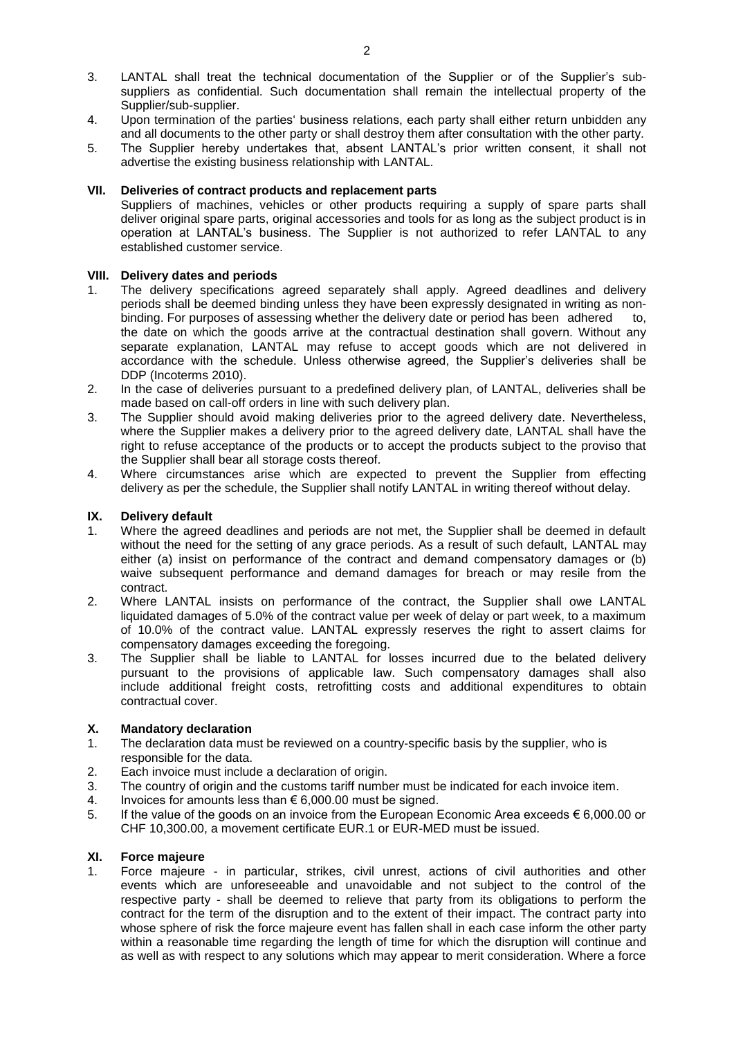- 3. LANTAL shall treat the technical documentation of the Supplier or of the Supplier's subsuppliers as confidential. Such documentation shall remain the intellectual property of the Supplier/sub-supplier.
- 4. Upon termination of the parties' business relations, each party shall either return unbidden any and all documents to the other party or shall destroy them after consultation with the other party.
- 5. The Supplier hereby undertakes that, absent LANTAL's prior written consent, it shall not advertise the existing business relationship with LANTAL.

# **VII. Deliveries of contract products and replacement parts**

Suppliers of machines, vehicles or other products requiring a supply of spare parts shall deliver original spare parts, original accessories and tools for as long as the subject product is in operation at LANTAL's business. The Supplier is not authorized to refer LANTAL to any established customer service.

# **VIII. Delivery dates and periods**

- 1. The delivery specifications agreed separately shall apply. Agreed deadlines and delivery periods shall be deemed binding unless they have been expressly designated in writing as nonbinding. For purposes of assessing whether the delivery date or period has been adhered to, the date on which the goods arrive at the contractual destination shall govern. Without any separate explanation, LANTAL may refuse to accept goods which are not delivered in accordance with the schedule. Unless otherwise agreed, the Supplier's deliveries shall be DDP (Incoterms 2010).
- 2. In the case of deliveries pursuant to a predefined delivery plan, of LANTAL, deliveries shall be made based on call-off orders in line with such delivery plan.
- 3. The Supplier should avoid making deliveries prior to the agreed delivery date. Nevertheless, where the Supplier makes a delivery prior to the agreed delivery date, LANTAL shall have the right to refuse acceptance of the products or to accept the products subject to the proviso that the Supplier shall bear all storage costs thereof.
- 4. Where circumstances arise which are expected to prevent the Supplier from effecting delivery as per the schedule, the Supplier shall notify LANTAL in writing thereof without delay.

#### **IX. Delivery default**

- 1. Where the agreed deadlines and periods are not met, the Supplier shall be deemed in default without the need for the setting of any grace periods. As a result of such default, LANTAL may either (a) insist on performance of the contract and demand compensatory damages or (b) waive subsequent performance and demand damages for breach or may resile from the contract.
- 2. Where LANTAL insists on performance of the contract, the Supplier shall owe LANTAL liquidated damages of 5.0% of the contract value per week of delay or part week, to a maximum of 10.0% of the contract value. LANTAL expressly reserves the right to assert claims for compensatory damages exceeding the foregoing.
- 3. The Supplier shall be liable to LANTAL for losses incurred due to the belated delivery pursuant to the provisions of applicable law. Such compensatory damages shall also include additional freight costs, retrofitting costs and additional expenditures to obtain contractual cover.

## **X. Mandatory declaration**

- 1. The declaration data must be reviewed on a country-specific basis by the supplier, who is responsible for the data.
- 2. Each invoice must include a declaration of origin.
- 3. The country of origin and the customs tariff number must be indicated for each invoice item.
- 4. Invoices for amounts less than  $\epsilon$  6,000.00 must be signed.
- 5. If the value of the goods on an invoice from the European Economic Area exceeds € 6,000.00 or CHF 10,300.00, a movement certificate EUR.1 or EUR-MED must be issued.

## **XI. Force majeure**

1. Force majeure - in particular, strikes, civil unrest, actions of civil authorities and other events which are unforeseeable and unavoidable and not subject to the control of the respective party - shall be deemed to relieve that party from its obligations to perform the contract for the term of the disruption and to the extent of their impact. The contract party into whose sphere of risk the force majeure event has fallen shall in each case inform the other party within a reasonable time regarding the length of time for which the disruption will continue and as well as with respect to any solutions which may appear to merit consideration. Where a force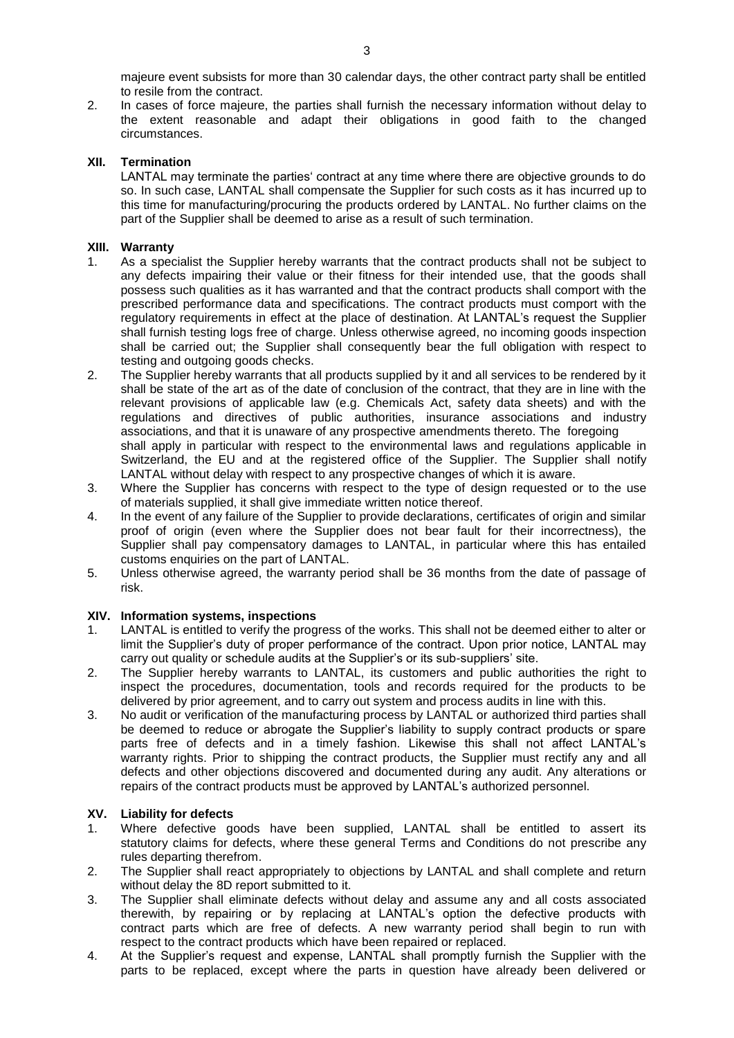majeure event subsists for more than 30 calendar days, the other contract party shall be entitled to resile from the contract.

2. In cases of force majeure, the parties shall furnish the necessary information without delay to the extent reasonable and adapt their obligations in good faith to the changed circumstances.

## **XII. Termination**

LANTAL may terminate the parties' contract at any time where there are objective grounds to do so. In such case, LANTAL shall compensate the Supplier for such costs as it has incurred up to this time for manufacturing/procuring the products ordered by LANTAL. No further claims on the part of the Supplier shall be deemed to arise as a result of such termination.

## **XIII. Warranty**

- 1. As a specialist the Supplier hereby warrants that the contract products shall not be subject to any defects impairing their value or their fitness for their intended use, that the goods shall possess such qualities as it has warranted and that the contract products shall comport with the prescribed performance data and specifications. The contract products must comport with the regulatory requirements in effect at the place of destination. At LANTAL's request the Supplier shall furnish testing logs free of charge. Unless otherwise agreed, no incoming goods inspection shall be carried out; the Supplier shall consequently bear the full obligation with respect to testing and outgoing goods checks.
- 2. The Supplier hereby warrants that all products supplied by it and all services to be rendered by it shall be state of the art as of the date of conclusion of the contract, that they are in line with the relevant provisions of applicable law (e.g. Chemicals Act, safety data sheets) and with the regulations and directives of public authorities, insurance associations and industry associations, and that it is unaware of any prospective amendments thereto. The foregoing shall apply in particular with respect to the environmental laws and regulations applicable in Switzerland, the EU and at the registered office of the Supplier. The Supplier shall notify LANTAL without delay with respect to any prospective changes of which it is aware.
- 3. Where the Supplier has concerns with respect to the type of design requested or to the use of materials supplied, it shall give immediate written notice thereof.
- 4. In the event of any failure of the Supplier to provide declarations, certificates of origin and similar proof of origin (even where the Supplier does not bear fault for their incorrectness), the Supplier shall pay compensatory damages to LANTAL, in particular where this has entailed customs enquiries on the part of LANTAL.
- 5. Unless otherwise agreed, the warranty period shall be 36 months from the date of passage of risk.

## **XIV. Information systems, inspections**

- 1. LANTAL is entitled to verify the progress of the works. This shall not be deemed either to alter or limit the Supplier's duty of proper performance of the contract. Upon prior notice, LANTAL may carry out quality or schedule audits at the Supplier's or its sub-suppliers' site.
- 2. The Supplier hereby warrants to LANTAL, its customers and public authorities the right to inspect the procedures, documentation, tools and records required for the products to be delivered by prior agreement, and to carry out system and process audits in line with this.
- 3. No audit or verification of the manufacturing process by LANTAL or authorized third parties shall be deemed to reduce or abrogate the Supplier's liability to supply contract products or spare parts free of defects and in a timely fashion. Likewise this shall not affect LANTAL's warranty rights. Prior to shipping the contract products, the Supplier must rectify any and all defects and other objections discovered and documented during any audit. Any alterations or repairs of the contract products must be approved by LANTAL's authorized personnel.

# **XV. Liability for defects**

- 1. Where defective goods have been supplied, LANTAL shall be entitled to assert its statutory claims for defects, where these general Terms and Conditions do not prescribe any rules departing therefrom.
- 2. The Supplier shall react appropriately to objections by LANTAL and shall complete and return without delay the 8D report submitted to it.
- 3. The Supplier shall eliminate defects without delay and assume any and all costs associated therewith, by repairing or by replacing at LANTAL's option the defective products with contract parts which are free of defects. A new warranty period shall begin to run with respect to the contract products which have been repaired or replaced.
- 4. At the Supplier's request and expense, LANTAL shall promptly furnish the Supplier with the parts to be replaced, except where the parts in question have already been delivered or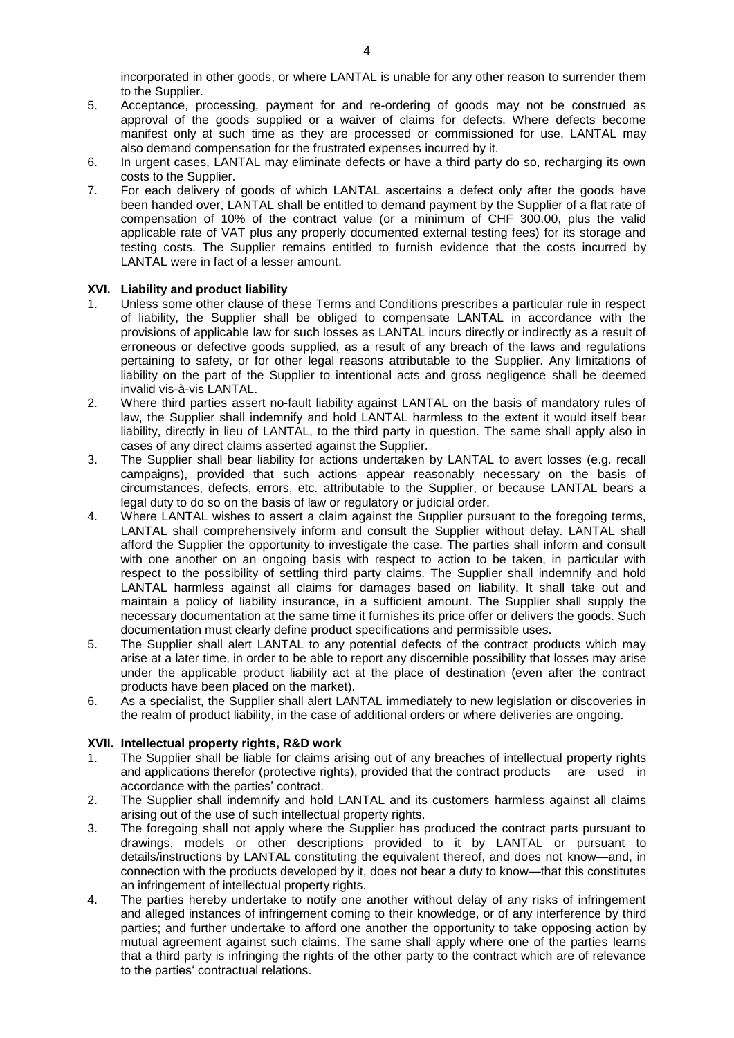incorporated in other goods, or where LANTAL is unable for any other reason to surrender them to the Supplier.

- 5. Acceptance, processing, payment for and re-ordering of goods may not be construed as approval of the goods supplied or a waiver of claims for defects. Where defects become manifest only at such time as they are processed or commissioned for use, LANTAL may also demand compensation for the frustrated expenses incurred by it.
- 6. In urgent cases, LANTAL may eliminate defects or have a third party do so, recharging its own costs to the Supplier.
- 7. For each delivery of goods of which LANTAL ascertains a defect only after the goods have been handed over, LANTAL shall be entitled to demand payment by the Supplier of a flat rate of compensation of 10% of the contract value (or a minimum of CHF 300.00, plus the valid applicable rate of VAT plus any properly documented external testing fees) for its storage and testing costs. The Supplier remains entitled to furnish evidence that the costs incurred by LANTAL were in fact of a lesser amount.

# **XVI. Liability and product liability**

- 1. Unless some other clause of these Terms and Conditions prescribes a particular rule in respect of liability, the Supplier shall be obliged to compensate LANTAL in accordance with the provisions of applicable law for such losses as LANTAL incurs directly or indirectly as a result of erroneous or defective goods supplied, as a result of any breach of the laws and regulations pertaining to safety, or for other legal reasons attributable to the Supplier. Any limitations of liability on the part of the Supplier to intentional acts and gross negligence shall be deemed invalid vis-à-vis LANTAL.
- 2. Where third parties assert no-fault liability against LANTAL on the basis of mandatory rules of law, the Supplier shall indemnify and hold LANTAL harmless to the extent it would itself bear liability, directly in lieu of LANTAL, to the third party in question. The same shall apply also in cases of any direct claims asserted against the Supplier.
- 3. The Supplier shall bear liability for actions undertaken by LANTAL to avert losses (e.g. recall campaigns), provided that such actions appear reasonably necessary on the basis of circumstances, defects, errors, etc. attributable to the Supplier, or because LANTAL bears a legal duty to do so on the basis of law or regulatory or judicial order.
- 4. Where LANTAL wishes to assert a claim against the Supplier pursuant to the foregoing terms, LANTAL shall comprehensively inform and consult the Supplier without delay. LANTAL shall afford the Supplier the opportunity to investigate the case. The parties shall inform and consult with one another on an ongoing basis with respect to action to be taken, in particular with respect to the possibility of settling third party claims. The Supplier shall indemnify and hold LANTAL harmless against all claims for damages based on liability. It shall take out and maintain a policy of liability insurance, in a sufficient amount. The Supplier shall supply the necessary documentation at the same time it furnishes its price offer or delivers the goods. Such documentation must clearly define product specifications and permissible uses.
- 5. The Supplier shall alert LANTAL to any potential defects of the contract products which may arise at a later time, in order to be able to report any discernible possibility that losses may arise under the applicable product liability act at the place of destination (even after the contract products have been placed on the market).
- 6. As a specialist, the Supplier shall alert LANTAL immediately to new legislation or discoveries in the realm of product liability, in the case of additional orders or where deliveries are ongoing.

## **XVII. Intellectual property rights, R&D work**

- 1. The Supplier shall be liable for claims arising out of any breaches of intellectual property rights and applications therefor (protective rights), provided that the contract products are used in accordance with the parties' contract.
- 2. The Supplier shall indemnify and hold LANTAL and its customers harmless against all claims arising out of the use of such intellectual property rights.
- 3. The foregoing shall not apply where the Supplier has produced the contract parts pursuant to drawings, models or other descriptions provided to it by LANTAL or pursuant to details/instructions by LANTAL constituting the equivalent thereof, and does not know—and, in connection with the products developed by it, does not bear a duty to know—that this constitutes an infringement of intellectual property rights.
- 4. The parties hereby undertake to notify one another without delay of any risks of infringement and alleged instances of infringement coming to their knowledge, or of any interference by third parties; and further undertake to afford one another the opportunity to take opposing action by mutual agreement against such claims. The same shall apply where one of the parties learns that a third party is infringing the rights of the other party to the contract which are of relevance to the parties' contractual relations.